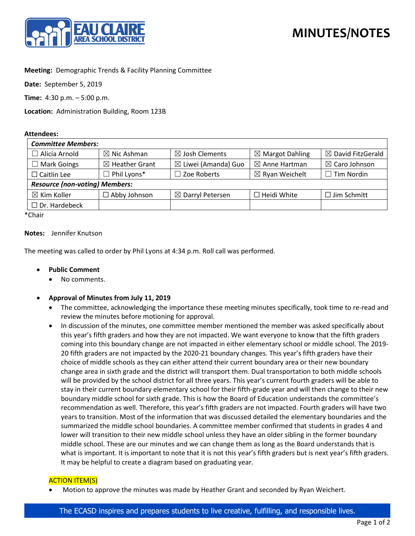

# **Meeting:** Demographic Trends & Facility Planning Committee

**Date:** September 5, 2019

**Time:** 4:30 p.m. – 5:00 p.m.

**Location:** Administration Building, Room 123B

#### **Attendees:**

| <b>Committee Members:</b>             |                           |                                |                            |                              |
|---------------------------------------|---------------------------|--------------------------------|----------------------------|------------------------------|
| $\Box$ Alicia Arnold                  | $\boxtimes$ Nic Ashman    | $\boxtimes$ Josh Clements      | $\boxtimes$ Margot Dahling | $\boxtimes$ David FitzGerald |
| $\Box$ Mark Goings                    | $\boxtimes$ Heather Grant | $\boxtimes$ Liwei (Amanda) Guo | $\boxtimes$ Anne Hartman   | $\boxtimes$ Caro Johnson     |
| $\Box$ Caitlin Lee                    | $\Box$ Phil Lyons*        | $\Box$ Zoe Roberts             | $\boxtimes$ Ryan Weichelt  | $\Box$ Tim Nordin            |
| <b>Resource (non-voting) Members:</b> |                           |                                |                            |                              |
| $\boxtimes$ Kim Koller                | $\Box$ Abby Johnson       | $\boxtimes$ Darryl Petersen    | $\Box$ Heidi White         | $\Box$ Jim Schmitt           |
| $\Box$ Dr. Hardebeck                  |                           |                                |                            |                              |

\*Chair

### **Notes:** Jennifer Knutson

The meeting was called to order by Phil Lyons at 4:34 p.m. Roll call was performed.

## • **Public Comment**

- No comments.
- **Approval of Minutes from July 11, 2019**
	- The committee, acknowledging the importance these meeting minutes specifically, took time to re-read and review the minutes before motioning for approval.
	- In discussion of the minutes, one committee member mentioned the member was asked specifically about this year's fifth graders and how they are not impacted. We want everyone to know that the fifth graders coming into this boundary change are not impacted in either elementary school or middle school. The 2019- 20 fifth graders are not impacted by the 2020-21 boundary changes. This year's fifth graders have their choice of middle schools as they can either attend their current boundary area or their new boundary change area in sixth grade and the district will transport them. Dual transportation to both middle schools will be provided by the school district for all three years. This year's current fourth graders will be able to stay in their current boundary elementary school for their fifth-grade year and will then change to their new boundary middle school for sixth grade. This is how the Board of Education understands the committee's recommendation as well. Therefore, this year's fifth graders are not impacted. Fourth graders will have two years to transition. Most of the information that was discussed detailed the elementary boundaries and the summarized the middle school boundaries. A committee member confirmed that students in grades 4 and lower will transition to their new middle school unless they have an older sibling in the former boundary middle school. These are our minutes and we can change them as long as the Board understands that is what is important. It is important to note that it is not this year's fifth graders but is next year's fifth graders. It may be helpful to create a diagram based on graduating year.

### ACTION ITEM(S)

• Motion to approve the minutes was made by Heather Grant and seconded by Ryan Weichert.